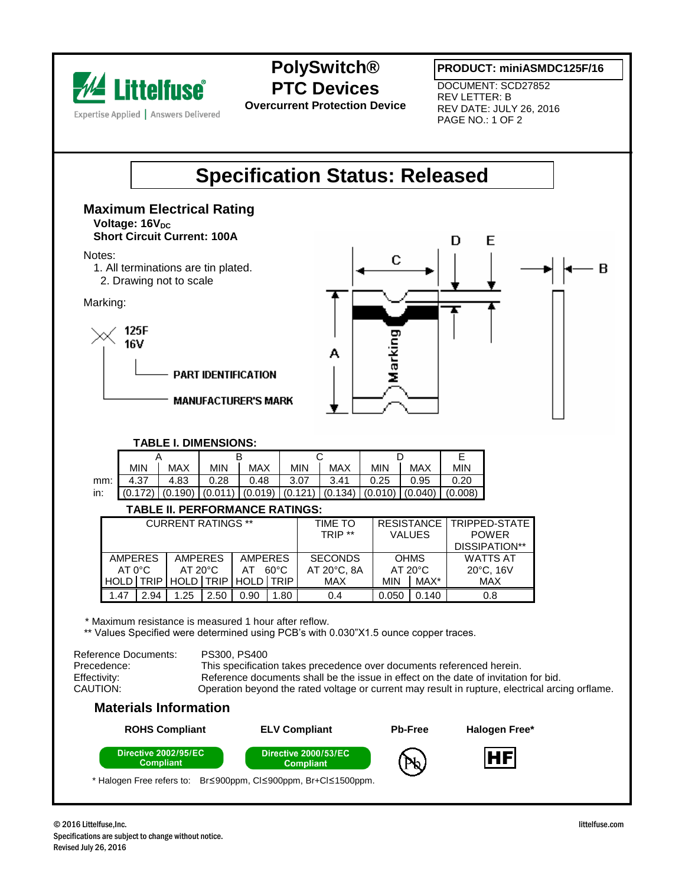

## **PolySwitch® PTC Devices**

**Overcurrent Protection Device**

**PRODUCT: miniASMDC125F/16**

DOCUMENT: SCD27852 REV LETTER: B REV DATE: JULY 26, 2016 PAGE NO.: 1 OF 2

## **Specification Status: Released**

#### **Maximum Electrical Rating Voltage: 16V<sub>DC</sub> Short Circuit Current: 100A**

Notes:

- 1. All terminations are tin plated.
- 2. Drawing not to scale

Marking:





#### **TABLE I. DIMENSIONS:**

| <b>MIN</b> | MAX  | <b>MIN</b> | <b>MAX</b> | <b>MIN</b> | <b>MAX</b> | <b>MIN</b> | MAX  | <b>MIN</b>                                                                 |  |  |  |
|------------|------|------------|------------|------------|------------|------------|------|----------------------------------------------------------------------------|--|--|--|
| 4.37       | 4.83 | 0.28       | 0.48       | 3.07       | 3.41       | 0.25       | 0.95 | 0.20                                                                       |  |  |  |
|            |      |            |            |            |            |            |      |                                                                            |  |  |  |
|            |      |            |            |            |            |            |      | $ (0.172) (0.190) (0.011) (0.019) (0.121) (0.134) (0.010) (0.040) (0.008)$ |  |  |  |

#### **TABLE II. PERFORMANCE RATINGS:**

| <b>CURRENT RATINGS **</b>        |             |                   |      |                     |             | TIME TO     |                   |       | <b>RESISTANCE   TRIPPED-STATE</b> |
|----------------------------------|-------------|-------------------|------|---------------------|-------------|-------------|-------------------|-------|-----------------------------------|
|                                  |             |                   |      |                     |             | TRIP **     | <b>VALUES</b>     |       | <b>POWER</b>                      |
|                                  |             |                   |      |                     |             |             |                   |       | DISSIPATION**                     |
| <b>AMPERES</b><br><b>AMPERES</b> |             | <b>AMPERES</b>    |      | <b>SECONDS</b>      | <b>OHMS</b> |             | <b>WATTS AT</b>   |       |                                   |
| $AT 0^{\circ}C$                  |             | $AT 20^{\circ}$ C |      | $60^{\circ}$ C      |             | AT 20°C, 8A | $AT 20^{\circ}$ C |       | $20^{\circ}$ C, 16V               |
| <b>HOLD</b>                      | <b>TRIP</b> |                   |      | HOLD TRIP HOLD TRIP |             | <b>MAX</b>  | <b>MIN</b>        | MAX*  | <b>MAX</b>                        |
| 1.47                             | 2.94        | 1.25              | 2.50 | 0.90                | .80         | 0.4         | 0.05C             | 0.140 | 0.8                               |

\* Maximum resistance is measured 1 hour after reflow.

\*\* Values Specified were determined using PCB's with 0.030"X1.5 ounce copper traces.

Reference Documents: PS300, PS400 Precedence: This specification takes precedence over documents referenced herein.<br>
Fifectivity: Reference documents shall be the issue in effect on the date of invitation Effectivity: Reference documents shall be the issue in effect on the date of invitation for bid.<br>CAUTION: CAUTION: Operation bevond the rated voltage or current may result in rupture. electrical arci Operation beyond the rated voltage or current may result in rupture, electrical arcing orflame.

### **Materials Information**

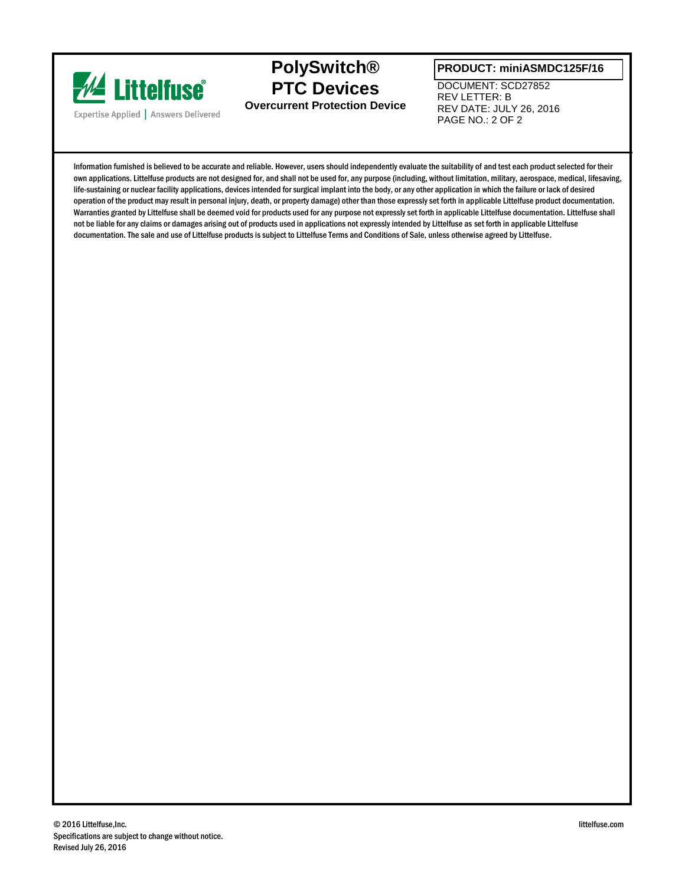

**PolySwitch® PTC Devices Overcurrent Protection Device**

#### **PRODUCT: miniASMDC125F/16**

DOCUMENT: SCD27852 REV LETTER: B REV DATE: JULY 26, 2016 PAGE NO.: 2 OF 2

Information furnished is believed to be accurate and reliable. However, users should independently evaluate the suitability of and test each product selected for their own applications. Littelfuse products are not designed for, and shall not be used for, any purpose (including, without limitation, military, aerospace, medical, lifesaving, life-sustaining or nuclear facility applications, devices intended for surgical implant into the body, or any other application in which the failure or lack of desired operation of the product may result in personal injury, death, or property damage) other than those expressly set forth in applicable Littelfuse product documentation. Warranties granted by Littelfuse shall be deemed void for products used for any purpose not expressly set forth in applicable Littelfuse documentation. Littelfuse shall not be liable for any claims or damages arising out of products used in applications not expressly intended by Littelfuse as set forth in applicable Littelfuse documentation. The sale and use of Littelfuse products is subject to Littelfuse Terms and Conditions of Sale, unless otherwise agreed by Littelfuse.